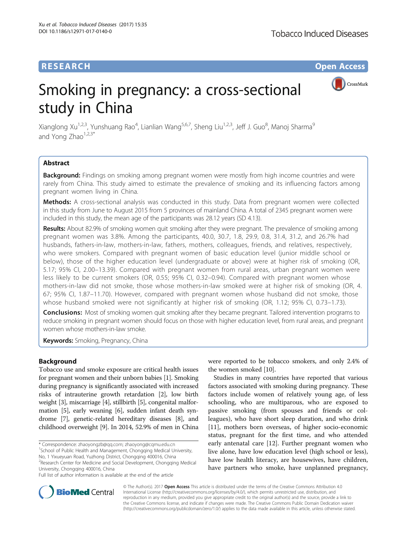# **RESEARCH CHE Open Access**

CrossMark

# Smoking in pregnancy: a cross-sectional study in China

Xianglong Xu<sup>1,2,3</sup>, Yunshuang Rao<sup>4</sup>, Lianlian Wang<sup>5,6,7</sup>, Sheng Liu<sup>1,2,3</sup>, Jeff J. Guo<sup>8</sup>, Manoj Sharma<sup>9</sup> and Yong  $Zhao<sup>1,2,3</sup>$ 

# Abstract

**Background:** Findings on smoking among pregnant women were mostly from high income countries and were rarely from China. This study aimed to estimate the prevalence of smoking and its influencing factors among pregnant women living in China.

**Methods:** A cross-sectional analysis was conducted in this study. Data from pregnant women were collected in this study from June to August 2015 from 5 provinces of mainland China. A total of 2345 pregnant women were included in this study, the mean age of the participants was 28.12 years (SD 4.13).

Results: About 82.9% of smoking women quit smoking after they were pregnant. The prevalence of smoking among pregnant women was 3.8%. Among the participants, 40.0, 30.7, 1.8, 29.9, 0.8, 31.4, 31.2, and 26.7% had husbands, fathers-in-law, mothers-in-law, fathers, mothers, colleagues, friends, and relatives, respectively, who were smokers. Compared with pregnant women of basic education level (junior middle school or below), those of the higher education level (undergraduate or above) were at higher risk of smoking (OR, 5.17; 95% CI, 2.00–13.39). Compared with pregnant women from rural areas, urban pregnant women were less likely to be current smokers (OR, 0.55; 95% CI, 0.32–0.94). Compared with pregnant women whose mothers-in-law did not smoke, those whose mothers-in-law smoked were at higher risk of smoking (OR, 4. 67; 95% CI, 1.87–11.70). However, compared with pregnant women whose husband did not smoke, those whose husband smoked were not significantly at higher risk of smoking (OR, 1.12; 95% CI, 0.73–1.73).

**Conclusions:** Most of smoking women quit smoking after they became pregnant. Tailored intervention programs to reduce smoking in pregnant women should focus on those with higher education level, from rural areas, and pregnant women whose mothers-in-law smoke.

Keywords: Smoking, Pregnancy, China

# Background

Tobacco use and smoke exposure are critical health issues for pregnant women and their unborn babies [[1](#page-7-0)]. Smoking during pregnancy is significantly associated with increased risks of intrauterine growth retardation [\[2\]](#page-7-0), low birth weight [[3\]](#page-7-0), miscarriage [[4\]](#page-7-0), stillbirth [[5](#page-7-0)], congenital malformation [[5](#page-7-0)], early weaning [\[6](#page-7-0)], sudden infant death syndrome [[7\]](#page-7-0), genetic-related hereditary diseases [[8\]](#page-7-0), and childhood overweight [\[9](#page-7-0)]. In 2014, 52.9% of men in China

\* Correspondence: [zhaoyongzb@qq.com](mailto:zhaoyongzb@qq.com); [zhaoyong@cqmu.edu.cn](mailto:zhaoyong@cqmu.edu.cn) <sup>1</sup>

<sup>1</sup>School of Public Health and Management, Chongqing Medical University, No, 1 Yixueyuan Road, Yuzhong District, Chongqing 400016, China

<sup>2</sup> Research Center for Medicine and Social Development, Chongqing Medical University, Chongqing 400016, China

Full list of author information is available at the end of the article

were reported to be tobacco smokers, and only 2.4% of the women smoked [[10\]](#page-7-0).

Studies in many countries have reported that various factors associated with smoking during pregnancy. These factors include women of relatively young age, of less schooling, who are multiparous, who are exposed to passive smoking (from spouses and friends or colleagues), who have short sleep duration, and who drink [[11\]](#page-7-0), mothers born overseas, of higher socio-economic status, pregnant for the first time, and who attended early antenatal care [\[12](#page-7-0)]. Further pregnant women who live alone, have low education level (high school or less), have low health literacy, are housewives, have children, have partners who smoke, have unplanned pregnancy,



© The Author(s). 2017 **Open Access** This article is distributed under the terms of the Creative Commons Attribution 4.0 International License [\(http://creativecommons.org/licenses/by/4.0/](http://creativecommons.org/licenses/by/4.0/)), which permits unrestricted use, distribution, and reproduction in any medium, provided you give appropriate credit to the original author(s) and the source, provide a link to the Creative Commons license, and indicate if changes were made. The Creative Commons Public Domain Dedication waiver [\(http://creativecommons.org/publicdomain/zero/1.0/](http://creativecommons.org/publicdomain/zero/1.0/)) applies to the data made available in this article, unless otherwise stated.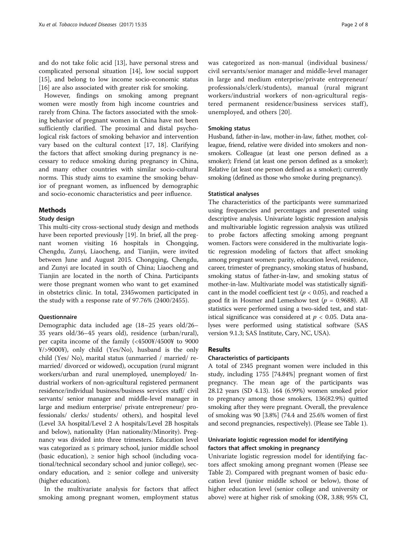and do not take folic acid [[13\]](#page-7-0), have personal stress and complicated personal situation [\[14\]](#page-7-0), low social support [[15\]](#page-7-0), and belong to low income socio-economic status [[16\]](#page-7-0) are also associated with greater risk for smoking.

However, findings on smoking among pregnant women were mostly from high income countries and rarely from China. The factors associated with the smoking behavior of pregnant women in China have not been sufficiently clarified. The proximal and distal psychological risk factors of smoking behavior and intervention vary based on the cultural context [\[17, 18\]](#page-7-0). Clarifying the factors that affect smoking during pregnancy is necessary to reduce smoking during pregnancy in China, and many other countries with similar socio-cultural norms. This study aims to examine the smoking behavior of pregnant women, as influenced by demographic and socio-economic characteristics and peer influence.

## Methods

#### Study design

This multi-city cross-sectional study design and methods have been reported previously [[19](#page-7-0)]. In brief, all the pregnant women visiting 16 hospitals in Chongqing, Chengdu, Zunyi, Liaocheng, and Tianjin, were invited between June and August 2015. Chongqing, Chengdu, and Zunyi are located in south of China; Liaocheng and Tianjin are located in the north of China. Participants were those pregnant women who want to get examined in obstetrics clinic. In total, 2345women participated in the study with a response rate of 97.76% (2400/2455).

## **Questionnaire**

Demographic data included age (18–25 years old/26– 35 years old/36–45 years old), residence (urban/rural), per capita income of the family (<4500¥/4500¥ to 9000 ¥/>9000¥), only child (Yes/No), husband is the only child (Yes/ No), marital status (unmarried / married/ remarried/ divorced or widowed), occupation (rural migrant workers/urban and rural unemployed, unemployed/ Industrial workers of non-agricultural registered permanent residence/individual business/business services staff/ civil servants/ senior manager and middle-level manager in large and medium enterprise/ private entrepreneur/ professionals/ clerks/ students/ others), and hospital level (Level 3A hospital/Level 2 A hospitals/Level 2B hospitals and below), nationality (Han nationality/Minority). Pregnancy was divided into three trimesters. Education level was categorized as ≤ primary school, junior middle school (basic education),  $\ge$  senior high school (including vocational/technical secondary school and junior college), secondary education, and  $\ge$  senior college and university (higher education).

In the multivariate analysis for factors that affect smoking among pregnant women, employment status was categorized as non-manual (individual business/ civil servants/senior manager and middle-level manager in large and medium enterprise/private entrepreneur/ professionals/clerk/students), manual (rural migrant workers/industrial workers of non-agricultural registered permanent residence/business services staff), unemployed, and others [\[20](#page-7-0)].

#### Smoking status

Husband, father-in-law, mother-in-law, father, mother, colleague, friend, relative were divided into smokers and nonsmokers. Colleague (at least one person defined as a smoker); Friend (at least one person defined as a smoker); Relative (at least one person defined as a smoker); currently smoking (defined as those who smoke during pregnancy).

#### Statistical analyses

The characteristics of the participants were summarized using frequencies and percentages and presented using descriptive analysis. Univariate logistic regression analysis and multivariable logistic regression analysis was utilized to probe factors affecting smoking among pregnant women. Factors were considered in the multivariate logistic regression modeling of factors that affect smoking among pregnant women: parity, education level, residence, career, trimester of pregnancy, smoking status of husband, smoking status of father-in-law, and smoking status of mother-in-law. Multivariate model was statistically significant in the model coefficient test ( $p < 0.05$ ), and reached a good fit in Hosmer and Lemeshow test ( $p = 0.9688$ ). All statistics were performed using a two-sided test, and statistical significance was considered at  $p < 0.05$ . Data analyses were performed using statistical software (SAS version 9.1.3; SAS Institute, Cary, NC, USA).

## Results

#### Characteristics of participants

A total of 2345 pregnant women were included in this study, including 1755 [74.84%] pregnant women of first pregnancy. The mean age of the participants was 28.12 years (SD 4.13). 164 (6.99%) women smoked prior to pregnancy among those smokers, 136(82.9%) quitted smoking after they were pregnant. Overall, the prevalence of smoking was 90 [3.8%] (74.4 and 25.6% women of first and second pregnancies, respectively). (Please see Table [1](#page-2-0)).

## Univariate logistic regression model for identifying factors that affect smoking in pregnancy

Univariate logistic regression model for identifying factors affect smoking among pregnant women (Please see Table [2](#page-4-0)). Compared with pregnant women of basic education level (junior middle school or below), those of higher education level (senior college and university or above) were at higher risk of smoking (OR, 3.88; 95% CI,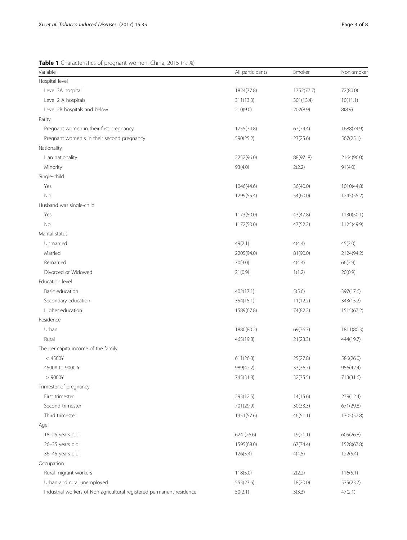<span id="page-2-0"></span>Table 1 Characteristics of pregnant women, China, 2015 (n, %)

| Variable                                                              | All participants | Smoker     | Non-smoker |
|-----------------------------------------------------------------------|------------------|------------|------------|
| Hospital level                                                        |                  |            |            |
| Level 3A hospital                                                     | 1824(77.8)       | 1752(77.7) | 72(80.0)   |
| Level 2 A hospitals                                                   | 311(13.3)        | 301(13.4)  | 10(11.1)   |
| Level 2B hospitals and below                                          | 210(9.0)         | 202(8.9)   | 8(8.9)     |
| Parity                                                                |                  |            |            |
| Pregnant women in their first pregnancy                               | 1755(74.8)       | 67(74.4)   | 1688(74.9) |
| Pregnant women s in their second pregnancy                            | 590(25.2)        | 23(25.6)   | 567(25.1)  |
| Nationality                                                           |                  |            |            |
| Han nationality                                                       | 2252(96.0)       | 88(97.8)   | 2164(96.0) |
| Minority                                                              | 93(4.0)          | 2(2.2)     | 91(4.0)    |
| Single-child                                                          |                  |            |            |
| Yes                                                                   | 1046(44.6)       | 36(40.0)   | 1010(44.8) |
| No                                                                    | 1299(55.4)       | 54(60.0)   | 1245(55.2) |
| Husband was single-child                                              |                  |            |            |
| Yes                                                                   | 1173(50.0)       | 43(47.8)   | 1130(50.1) |
| No                                                                    | 1172(50.0)       | 47(52.2)   | 1125(49.9) |
| Marital status                                                        |                  |            |            |
| Unmarried                                                             | 49(2.1)          | 4(4.4)     | 45(2.0)    |
| Married                                                               | 2205(94.0)       | 81(90.0)   | 2124(94.2) |
| Remarried                                                             | 70(3.0)          | 4(4.4)     | 66(2.9)    |
| Divorced or Widowed                                                   | 21(0.9)          | 1(1.2)     | 20(0.9)    |
| Education level                                                       |                  |            |            |
| Basic education                                                       | 402(17.1)        | 5(5.6)     | 397(17.6)  |
| Secondary education                                                   | 354(15.1)        | 11(12.2)   | 343(15.2)  |
| Higher education                                                      | 1589(67.8)       | 74(82.2)   | 1515(67.2) |
| Residence                                                             |                  |            |            |
| Urban                                                                 | 1880(80.2)       | 69(76.7)   | 1811(80.3) |
| Rural                                                                 | 465(19.8)        | 21(23.3)   | 444(19.7)  |
| The per capita income of the family                                   |                  |            |            |
| $<$ 4500¥                                                             | 611(26.0)        | 25(27.8)   | 586(26.0)  |
| 4500¥ to 9000 ¥                                                       | 989(42.2)        | 33(36.7)   | 956(42.4)  |
| $>9000$ ¥                                                             | 745(31.8)        | 32(35.5)   | 713(31.6)  |
| Trimester of pregnancy                                                |                  |            |            |
| First trimester                                                       | 293(12.5)        | 14(15.6)   | 279(12.4)  |
| Second trimester                                                      | 701(29.9)        | 30(33.3)   | 671(29.8)  |
| Third trimester                                                       | 1351(57.6)       | 46(51.1)   | 1305(57.8) |
| Age                                                                   |                  |            |            |
| 18-25 years old                                                       | 624 (26.6)       | 19(21.1)   | 605(26.8)  |
| 26-35 years old                                                       | 1595(68.0)       | 67(74.4)   | 1528(67.8) |
| 36-45 years old                                                       | 126(5.4)         | 4(4.5)     | 122(5.4)   |
| Occupation                                                            |                  |            |            |
| Rural migrant workers                                                 | 118(5.0)         | 2(2.2)     | 116(5.1)   |
| Urban and rural unemployed                                            | 553(23.6)        | 18(20.0)   | 535(23.7)  |
| Industrial workers of Non-agricultural registered permanent residence | 50(2.1)          | 3(3.3)     | 47(2.1)    |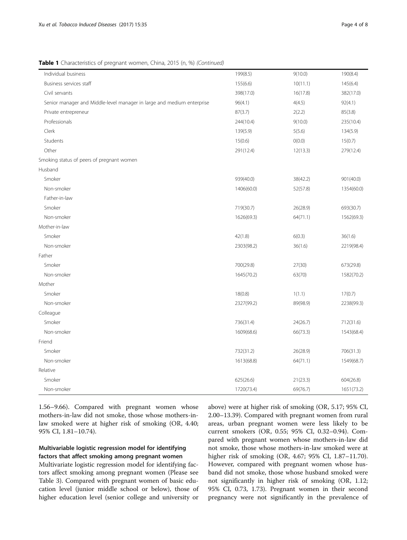Table 1 Characteristics of pregnant women, China, 2015 (n, %) (Continued)

| Individual business                                                    | 199(8.5)   | 9(10.0)  | 190(8.4)   |
|------------------------------------------------------------------------|------------|----------|------------|
| Business services staff                                                | 155(6.6)   | 10(11.1) | 145(6.4)   |
| Civil servants                                                         | 398(17.0)  | 16(17.8) | 382(17.0)  |
| Senior manager and Middle-level manager in large and medium enterprise | 96(4.1)    | 4(4.5)   | 92(4.1)    |
| Private entrepreneur                                                   | 87(3.7)    | 2(2.2)   | 85(3.8)    |
| Professionals                                                          | 244(10.4)  | 9(10.0)  | 235(10.4)  |
| Clerk                                                                  | 139(5.9)   | 5(5.6)   | 134(5.9)   |
| Students                                                               | 15(0.6)    | O(0.0)   | 15(0.7)    |
| Other                                                                  | 291(12.4)  | 12(13.3) | 279(12.4)  |
| Smoking status of peers of pregnant women                              |            |          |            |
| Husband                                                                |            |          |            |
| Smoker                                                                 | 939(40.0)  | 38(42.2) | 901(40.0)  |
| Non-smoker                                                             | 1406(60.0) | 52(57.8) | 1354(60.0) |
| Father-in-law                                                          |            |          |            |
| Smoker                                                                 | 719(30.7)  | 26(28.9) | 693(30.7)  |
| Non-smoker                                                             | 1626(69.3) | 64(71.1) | 1562(69.3) |
| Mother-in-law                                                          |            |          |            |
| Smoker                                                                 | 42(1.8)    | 6(0.3)   | 36(1.6)    |
| Non-smoker                                                             | 2303(98.2) | 36(1.6)  | 2219(98.4) |
| Father                                                                 |            |          |            |
| Smoker                                                                 | 700(29.8)  | 27(30)   | 673(29.8)  |
| Non-smoker                                                             | 1645(70.2) | 63(70)   | 1582(70.2) |
| Mother                                                                 |            |          |            |
| Smoker                                                                 | 18(0.8)    | 1(1.1)   | 17(0.7)    |
| Non-smoker                                                             | 2327(99.2) | 89(98.9) | 2238(99.3) |
| Colleague                                                              |            |          |            |
| Smoker                                                                 | 736(31.4)  | 24(26.7) | 712(31.6)  |
| Non-smoker                                                             | 1609(68.6) | 66(73.3) | 1543(68.4) |
| Friend                                                                 |            |          |            |
| Smoker                                                                 | 732(31.2)  | 26(28.9) | 706(31.3)  |
| Non-smoker                                                             | 1613(68.8) | 64(71.1) | 1549(68.7) |
| Relative                                                               |            |          |            |
| Smoker                                                                 | 625(26.6)  | 21(23.3) | 604(26.8)  |
| Non-smoker                                                             | 1720(73.4) | 69(76.7) | 1651(73.2) |

1.56–9.66). Compared with pregnant women whose mothers-in-law did not smoke, those whose mothers-inlaw smoked were at higher risk of smoking (OR, 4.40; 95% CI, 1.81–10.74).

# Multivariable logistic regression model for identifying factors that affect smoking among pregnant women

Multivariate logistic regression model for identifying factors affect smoking among pregnant women (Please see Table [3](#page-5-0)). Compared with pregnant women of basic education level (junior middle school or below), those of higher education level (senior college and university or above) were at higher risk of smoking (OR, 5.17; 95% CI, 2.00–13.39). Compared with pregnant women from rural areas, urban pregnant women were less likely to be current smokers (OR, 0.55; 95% CI, 0.32–0.94). Compared with pregnant women whose mothers-in-law did not smoke, those whose mothers-in-law smoked were at higher risk of smoking (OR, 4.67; 95% CI, 1.87–11.70). However, compared with pregnant women whose husband did not smoke, those whose husband smoked were not significantly in higher risk of smoking (OR, 1.12; 95% CI, 0.73, 1.73). Pregnant women in their second pregnancy were not significantly in the prevalence of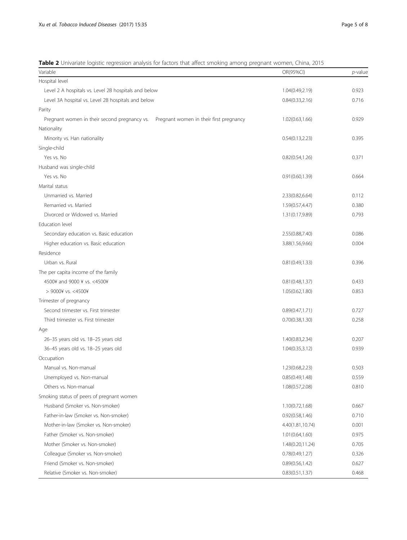<span id="page-4-0"></span>Table 2 Univariate logistic regression analysis for factors that affect smoking among pregnant women, China, 2015

| Variable                                                                                | OR(95%CI)        | $p$ -value |
|-----------------------------------------------------------------------------------------|------------------|------------|
| Hospital level                                                                          |                  |            |
| Level 2 A hospitals vs. Level 2B hospitals and below                                    | 1.04(0.49,2.19)  | 0.923      |
| Level 3A hospital vs. Level 2B hospitals and below                                      | 0.84(0.33, 2.16) | 0.716      |
| Parity                                                                                  |                  |            |
| Pregnant women in their second pregnancy vs.<br>Pregnant women in their first pregnancy | 1.02(0.63, 1.66) | 0.929      |
| Nationality                                                                             |                  |            |
| Minority vs. Han nationality                                                            | 0.54(0.13, 2.23) | 0.395      |
| Single-child                                                                            |                  |            |
| Yes vs. No                                                                              | 0.82(0.54, 1.26) | 0.371      |
| Husband was single-child                                                                |                  |            |
| Yes vs. No                                                                              | 0.91(0.60, 1.39) | 0.664      |
| Marital status                                                                          |                  |            |
| Unmarried vs. Married                                                                   | 2.33(0.82,6.64)  | 0.112      |
| Remarried vs. Married                                                                   | 1.59(0.57,4.47)  | 0.380      |
| Divorced or Widowed vs. Married                                                         | 1.31(0.17,9.89)  | 0.793      |
| Education level                                                                         |                  |            |
| Secondary education vs. Basic education                                                 | 2.55(0.88,7.40)  | 0.086      |
| Higher education vs. Basic education                                                    | 3.88(1.56,9.66)  | 0.004      |
| Residence                                                                               |                  |            |
| Urban vs. Rural                                                                         | 0.81(0.49, 1.33) | 0.396      |
| The per capita income of the family                                                     |                  |            |
| 4500¥ and 9000 ¥ vs. <4500¥                                                             | 0.81(0.48, 1.37) | 0.433      |
| > 9000¥ vs. <4500¥                                                                      | 1.05(0.62,1.80)  | 0.853      |
| Trimester of pregnancy                                                                  |                  |            |
| Second trimester vs. First trimester                                                    | 0.89(0.47, 1.71) | 0.727      |
| Third trimester vs. First trimester                                                     | 0.70(0.38, 1.30) | 0.258      |
| Age                                                                                     |                  |            |
| 26-35 years old vs. 18-25 years old                                                     | 1.40(0.83,2.34)  | 0.207      |
| 36-45 years old vs. 18-25 years old                                                     | 1.04(0.35, 3.12) | 0.939      |
| Occupation                                                                              |                  |            |
| Manual vs. Non-manual                                                                   | 1.23(0.68,2.23)  | 0.503      |
| Unemployed vs. Non-manual                                                               | 0.85(0.49, 1.48) | 0.559      |
| Others vs. Non-manual                                                                   | 1.08(0.57,2.08)  | 0.810      |
| Smoking status of peers of pregnant women                                               |                  |            |
| Husband (Smoker vs. Non-smoker)                                                         | 1.10(0.72,1.68)  | 0.667      |
| Father-in-law (Smoker vs. Non-smoker)                                                   | 0.92(0.58, 1.46) | 0.710      |
| Mother-in-law (Smoker vs. Non-smoker)                                                   | 4.40(1.81,10.74) | 0.001      |
| Father (Smoker vs. Non-smoker)                                                          | 1.01(0.64, 1.60) | 0.975      |
| Mother (Smoker vs. Non-smoker)                                                          | 1.48(0.20,11.24) | 0.705      |
| Colleague (Smoker vs. Non-smoker)                                                       | 0.78(0.49, 1.27) | 0.326      |
| Friend (Smoker vs. Non-smoker)                                                          | 0.89(0.56, 1.42) | 0.627      |
| Relative (Smoker vs. Non-smoker)                                                        | 0.83(0.51, 1.37) | 0.468      |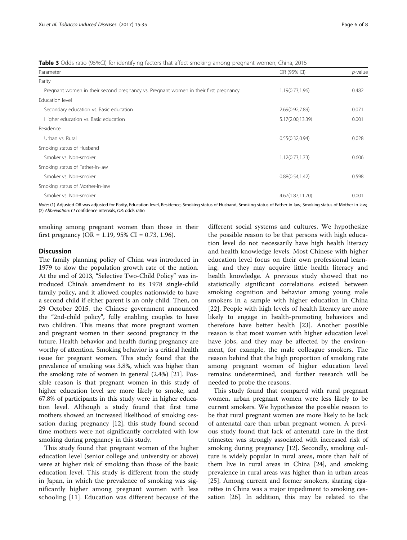<span id="page-5-0"></span>Table 3 Odds ratio (95%CI) for identifying factors that affect smoking among pregnant women, China, 2015

| Parameter                                                                            | OR (95% CI)      | <i>p</i> -value |
|--------------------------------------------------------------------------------------|------------------|-----------------|
| Parity                                                                               |                  |                 |
| Pregnant women in their second pregnancy vs. Pregnant women in their first pregnancy | 1.19(0.73,1.96)  | 0.482           |
| <b>Education level</b>                                                               |                  |                 |
| Secondary education vs. Basic education                                              | 2.69(0.92,7.89)  | 0.071           |
| Higher education vs. Basic education                                                 | 5.17(2.00,13.39) | 0.001           |
| Residence                                                                            |                  |                 |
| Urban vs. Rural                                                                      | 0.55(0.32,0.94)  | 0.028           |
| Smoking status of Husband                                                            |                  |                 |
| Smoker vs. Non-smoker                                                                | 1.12(0.73, 1.73) | 0.606           |
| Smoking status of Father-in-law                                                      |                  |                 |
| Smoker vs. Non-smoker                                                                | 0.88(0.54, 1.42) | 0.598           |
| Smoking status of Mother-in-law                                                      |                  |                 |
| Smoker vs. Non-smoker                                                                | 4.67(1.87,11.70) | 0.001           |

Note: (1) Adjusted OR was adjusted for Parity, Education level, Residence, Smoking status of Husband, Smoking status of Father-in-law, Smoking status of Mother-in-law; (2) Abbreviation: CI confidence intervals, OR: odds ratio

smoking among pregnant women than those in their first pregnancy (OR = 1.19, 95% CI = 0.73, 1.96).

## **Discussion**

The family planning policy of China was introduced in 1979 to slow the population growth rate of the nation. At the end of 2013, "Selective Two-Child Policy" was introduced China's amendment to its 1978 single-child family policy, and it allowed couples nationwide to have a second child if either parent is an only child. Then, on 29 October 2015, the Chinese government announced the "2nd-child policy", fully enabling couples to have two children. This means that more pregnant women and pregnant women in their second pregnancy in the future. Health behavior and health during pregnancy are worthy of attention. Smoking behavior is a critical health issue for pregnant women. This study found that the prevalence of smoking was 3.8%, which was higher than the smoking rate of women in general (2.4%) [[21](#page-7-0)]. Possible reason is that pregnant women in this study of higher education level are more likely to smoke, and 67.8% of participants in this study were in higher education level. Although a study found that first time mothers showed an increased likelihood of smoking cessation during pregnancy [\[12](#page-7-0)], this study found second time mothers were not significantly correlated with low smoking during pregnancy in this study.

This study found that pregnant women of the higher education level (senior college and university or above) were at higher risk of smoking than those of the basic education level. This study is different from the study in Japan, in which the prevalence of smoking was significantly higher among pregnant women with less schooling [[11](#page-7-0)]. Education was different because of the

different social systems and cultures. We hypothesize the possible reason to be that persons with high education level do not necessarily have high health literacy and health knowledge levels. Most Chinese with higher education level focus on their own professional learning, and they may acquire little health literacy and health knowledge. A previous study showed that no statistically significant correlations existed between smoking cognition and behavior among young male smokers in a sample with higher education in China [[22](#page-7-0)]. People with high levels of health literacy are more likely to engage in health-promoting behaviors and therefore have better health [[23\]](#page-7-0). Another possible reason is that most women with higher education level have jobs, and they may be affected by the environment, for example, the male colleague smokers. The reason behind that the high proportion of smoking rate among pregnant women of higher education level remains undetermined, and further research will be needed to probe the reasons.

This study found that compared with rural pregnant women, urban pregnant women were less likely to be current smokers. We hypothesize the possible reason to be that rural pregnant women are more likely to be lack of antenatal care than urban pregnant women. A previous study found that lack of antenatal care in the first trimester was strongly associated with increased risk of smoking during pregnancy [[12\]](#page-7-0). Secondly, smoking culture is widely popular in rural areas, more than half of them live in rural areas in China [[24](#page-7-0)], and smoking prevalence in rural areas was higher than in urban areas [[25\]](#page-7-0). Among current and former smokers, sharing cigarettes in China was a major impediment to smoking cessation [[26](#page-7-0)]. In addition, this may be related to the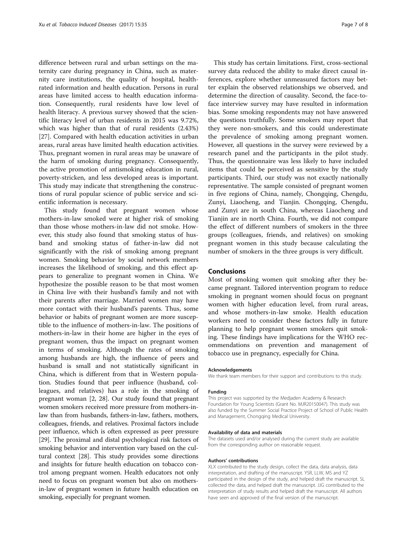difference between rural and urban settings on the maternity care during pregnancy in China, such as maternity care institutions, the quality of hospital, healthrated information and health education. Persons in rural areas have limited access to health education information. Consequently, rural residents have low level of health literacy. A previous survey showed that the scientific literacy level of urban residents in 2015 was 9.72%, which was higher than that of rural residents (2.43%) [[27\]](#page-7-0). Compared with health education activities in urban areas, rural areas have limited health education activities. Thus, pregnant women in rural areas may be unaware of the harm of smoking during pregnancy. Consequently, the active promotion of antismoking education in rural, poverty-stricken, and less developed areas is important. This study may indicate that strengthening the constructions of rural popular science of public service and scientific information is necessary.

This study found that pregnant women whose mothers-in-law smoked were at higher risk of smoking than those whose mothers-in-law did not smoke. However, this study also found that smoking status of husband and smoking status of father-in-law did not significantly with the risk of smoking among pregnant women. Smoking behavior by social network members increases the likelihood of smoking, and this effect appears to generalize to pregnant women in China. We hypothesize the possible reason to be that most women in China live with their husband's family and not with their parents after marriage. Married women may have more contact with their husband's parents. Thus, some behavior or habits of pregnant women are more susceptible to the influence of mothers-in-law. The positions of mothers-in-law in their home are higher in the eyes of pregnant women, thus the impact on pregnant women in terms of smoking. Although the rates of smoking among husbands are high, the influence of peers and husband is small and not statistically significant in China, which is different from that in Western population. Studies found that peer influence (husband, colleagues, and relatives) has a role in the smoking of pregnant woman [[2, 28\]](#page-7-0). Our study found that pregnant women smokers received more pressure from mothers-inlaw than from husbands, fathers-in-law, fathers, mothers, colleagues, friends, and relatives. Proximal factors include peer influence, which is often expressed as peer pressure [[29](#page-7-0)]. The proximal and distal psychological risk factors of smoking behavior and intervention vary based on the cultural context [[28\]](#page-7-0). This study provides some directions and insights for future health education on tobacco control among pregnant women. Health educators not only need to focus on pregnant women but also on mothersin-law of pregnant women in future health education on smoking, especially for pregnant women.

This study has certain limitations. First, cross-sectional survey data reduced the ability to make direct causal inferences, explore whether unmeasured factors may better explain the observed relationships we observed, and determine the direction of causality. Second, the face-toface interview survey may have resulted in information bias. Some smoking respondents may not have answered the questions truthfully. Some smokers may report that they were non-smokers, and this could underestimate the prevalence of smoking among pregnant women. However, all questions in the survey were reviewed by a research panel and the participants in the pilot study. Thus, the questionnaire was less likely to have included items that could be perceived as sensitive by the study participants. Third, our study was not exactly nationally representative. The sample consisted of pregnant women in five regions of China, namely, Chongqing, Chengdu, Zunyi, Liaocheng, and Tianjin. Chongqing, Chengdu, and Zunyi are in south China, whereas Liaocheng and Tianjin are in north China. Fourth, we did not compare the effect of different numbers of smokers in the three groups (colleagues, friends, and relatives) on smoking pregnant women in this study because calculating the number of smokers in the three groups is very difficult.

### Conclusions

Most of smoking women quit smoking after they became pregnant. Tailored intervention program to reduce smoking in pregnant women should focus on pregnant women with higher education level, from rural areas, and whose mothers-in-law smoke. Health education workers need to consider these factors fully in future planning to help pregnant women smokers quit smoking. These findings have implications for the WHO recommendations on prevention and management of tobacco use in pregnancy, especially for China.

#### Acknowledgements

We thank team members for their support and contributions to this study.

#### Funding

This project was supported by the Medjaden Academy & Research Foundation for Young Scientists (Grant No. MJR20150047). This study was also funded by the Summer Social Practice Project of School of Public Health and Management, Chongqing Medical University.

#### Availability of data and materials

The datasets used and/or analysed during the current study are available from the corresponding author on reasonable request.

#### Authors' contributions

XLX contributed to the study design, collect the data, data analysis, data interpretation, and drafting of the manuscript. YSR, LLW, MS and YZ participated in the design of the study, and helped draft the manuscript. SL collected the data, and helped draft the manuscript. JJG contributed to the interpretation of study results and helped draft the manuscript. All authors have seen and approved of the final version of the manuscript.